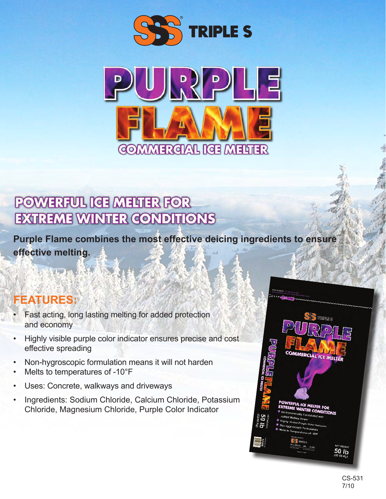



## **POWERFUL IGE MELTER FOR EXTREME WINTER CONDITIONS**

**Purple Flame combines the most effective deicing ingredients to ensure effective melting.**

## **FEATURES:**

- Fast acting, long lasting melting for added protection and economy
- Highly visible purple color indicator ensures precise and cost effective spreading
- Non-hygroscopic formulation means it will not harden
- Melts to temperatures of -10°F
- Uses: Concrete, walkways and driveways
- • Ingredients: Sodium Chloride, Calcium Chloride, Potassium Chloride, Magnesium Chloride, Purple Color Indicator